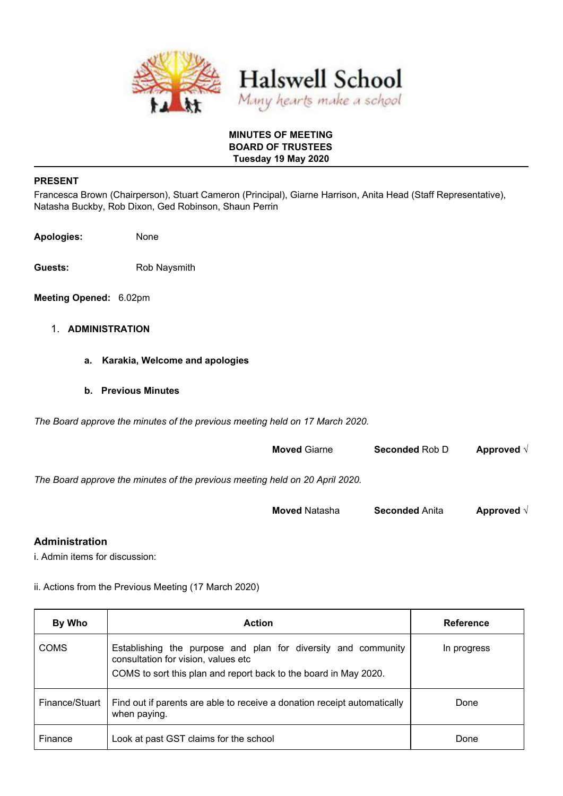

#### **MINUTES OF MEETING BOARD OF TRUSTEES Tuesday 19 May 2020**

#### **PRESENT**

Francesca Brown (Chairperson), Stuart Cameron (Principal), Giarne Harrison, Anita Head (Staff Representative), Natasha Buckby, Rob Dixon, Ged Robinson, Shaun Perrin

**Apologies:** None

Guests: Rob Naysmith

**Meeting Opened:** 6.02pm

### 1. **ADMINISTRATION**

- **a. Karakia, Welcome and apologies**
- **b. Previous Minutes**

*The Board approve the minutes of the previous meeting held on 17 March 2020.*

|                                                                              | <b>Moved Giarne</b> | <b>Seconded Rob D</b> | Approved $\sqrt{ }$ |
|------------------------------------------------------------------------------|---------------------|-----------------------|---------------------|
| The Board approve the minutes of the previous meeting held on 20 April 2020. |                     |                       |                     |

| <b>Moved</b> Natasha<br><b>Seconded Anita</b> | Approved $\sqrt{ }$ |
|-----------------------------------------------|---------------------|
|-----------------------------------------------|---------------------|

#### **Administration**

i. Admin items for discussion:

ii. Actions from the Previous Meeting (17 March 2020)

| By Who         | <b>Action</b>                                                                                                                                                            | <b>Reference</b> |
|----------------|--------------------------------------------------------------------------------------------------------------------------------------------------------------------------|------------------|
| <b>COMS</b>    | Establishing the purpose and plan for diversity and community<br>consultation for vision, values etc<br>COMS to sort this plan and report back to the board in May 2020. | In progress      |
| Finance/Stuart | Find out if parents are able to receive a donation receipt automatically<br>when paying.                                                                                 | Done             |
| Finance        | Look at past GST claims for the school                                                                                                                                   | Done             |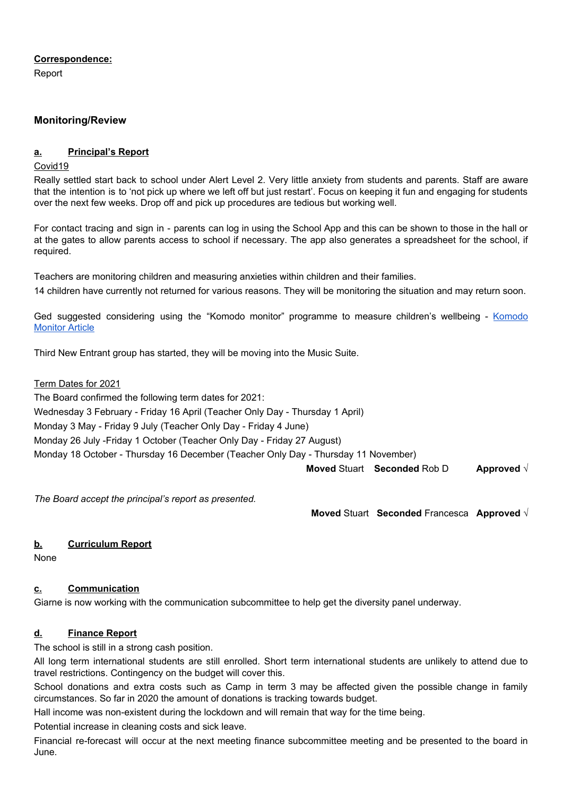#### **Correspondence:**

Report

## **Monitoring/Review**

## **a. Principal's Report**

#### Covid19

Really settled start back to school under Alert Level 2. Very little anxiety from students and parents. Staff are aware that the intention is to 'not pick up where we left off but just restart'. Focus on keeping it fun and engaging for students over the next few weeks. Drop off and pick up procedures are tedious but working well.

For contact tracing and sign in - parents can log in using the School App and this can be shown to those in the hall or at the gates to allow parents access to school if necessary. The app also generates a spreadsheet for the school, if required.

Teachers are monitoring children and measuring anxieties within children and their families. 14 children have currently not returned for various reasons. They will be monitoring the situation and may return soon.

Ged suggested considering using the "Komodo monitor" programme to measure children's wellbeing [-](https://www.stuff.co.nz/business/innovation/300014281/christchurch-startup-helps-schools-track-wellbeing) [Komodo](https://www.stuff.co.nz/business/innovation/300014281/christchurch-startup-helps-schools-track-wellbeing) **[Monitor](https://www.stuff.co.nz/business/innovation/300014281/christchurch-startup-helps-schools-track-wellbeing) Article** 

Third New Entrant group has started, they will be moving into the Music Suite.

#### Term Dates for 2021

The Board confirmed the following term dates for 2021: Wednesday 3 February - Friday 16 April (Teacher Only Day - Thursday 1 April)

Monday 3 May - Friday 9 July (Teacher Only Day - Friday 4 June)

Monday 26 July -Friday 1 October (Teacher Only Day - Friday 27 August)

Monday 18 October - Thursday 16 December (Teacher Only Day - Thursday 11 November)

**Moved** Stuart **Seconded** Rob D **Approved** √

*The Board accept the principal's report as presented.*

**Moved** Stuart **Seconded** Francesca **Approved** √

## **b. Curriculum Report**

None

## **c. Communication**

Giarne is now working with the communication subcommittee to help get the diversity panel underway.

## **d. Finance Report**

The school is still in a strong cash position.

All long term international students are still enrolled. Short term international students are unlikely to attend due to travel restrictions. Contingency on the budget will cover this.

School donations and extra costs such as Camp in term 3 may be affected given the possible change in family circumstances. So far in 2020 the amount of donations is tracking towards budget.

Hall income was non-existent during the lockdown and will remain that way for the time being.

Potential increase in cleaning costs and sick leave.

Financial re-forecast will occur at the next meeting finance subcommittee meeting and be presented to the board in June.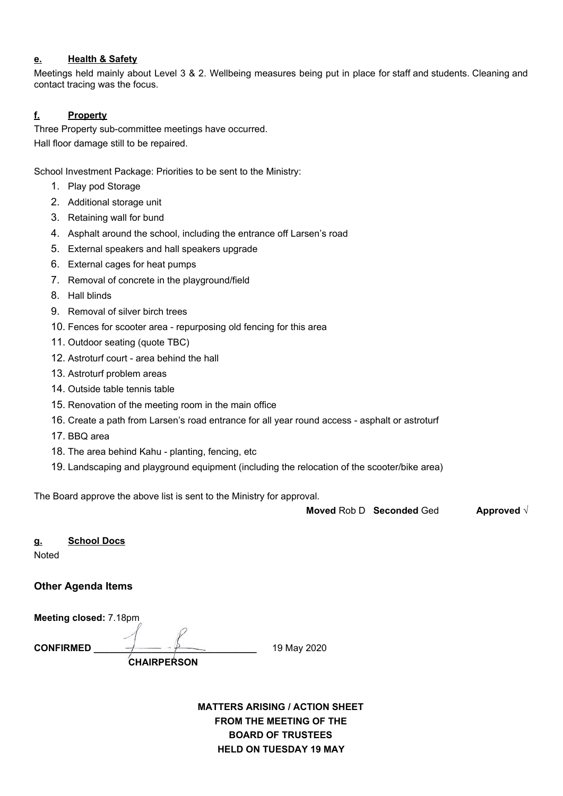### **e. Health & Safety**

Meetings held mainly about Level 3 & 2. Wellbeing measures being put in place for staff and students. Cleaning and contact tracing was the focus.

# **f. Property**

Three Property sub-committee meetings have occurred. Hall floor damage still to be repaired.

School Investment Package: Priorities to be sent to the Ministry:

- 1. Play pod Storage
- 2. Additional storage unit
- 3. Retaining wall for bund
- 4. Asphalt around the school, including the entrance off Larsen's road
- 5. External speakers and hall speakers upgrade
- 6. External cages for heat pumps
- 7. Removal of concrete in the playground/field
- 8. Hall blinds
- 9. Removal of silver birch trees
- 10. Fences for scooter area repurposing old fencing for this area
- 11. Outdoor seating (quote TBC)
- 12. Astroturf court area behind the hall
- 13. Astroturf problem areas
- 14. Outside table tennis table
- 15. Renovation of the meeting room in the main office
- 16. Create a path from Larsen's road entrance for all year round access asphalt or astroturf
- 17. BBQ area
- 18. The area behind Kahu planting, fencing, etc
- 19. Landscaping and playground equipment (including the relocation of the scooter/bike area)

The Board approve the above list is sent to the Ministry for approval.

**Moved** Rob D **Seconded** Ged **Approved** √

**g. School Docs** 

**Noted** 

## **Other Agenda Items**

**Meeting closed:** 7.18pm

**CONFIRMED**  $\longrightarrow$   $\longleftarrow$   $\longleftarrow$   $\longleftarrow$   $\longleftarrow$  19 May 2020

 **CHAIRPERSON** 

**MATTERS ARISING / ACTION SHEET FROM THE MEETING OF THE BOARD OF TRUSTEES HELD ON TUESDAY 19 MAY**